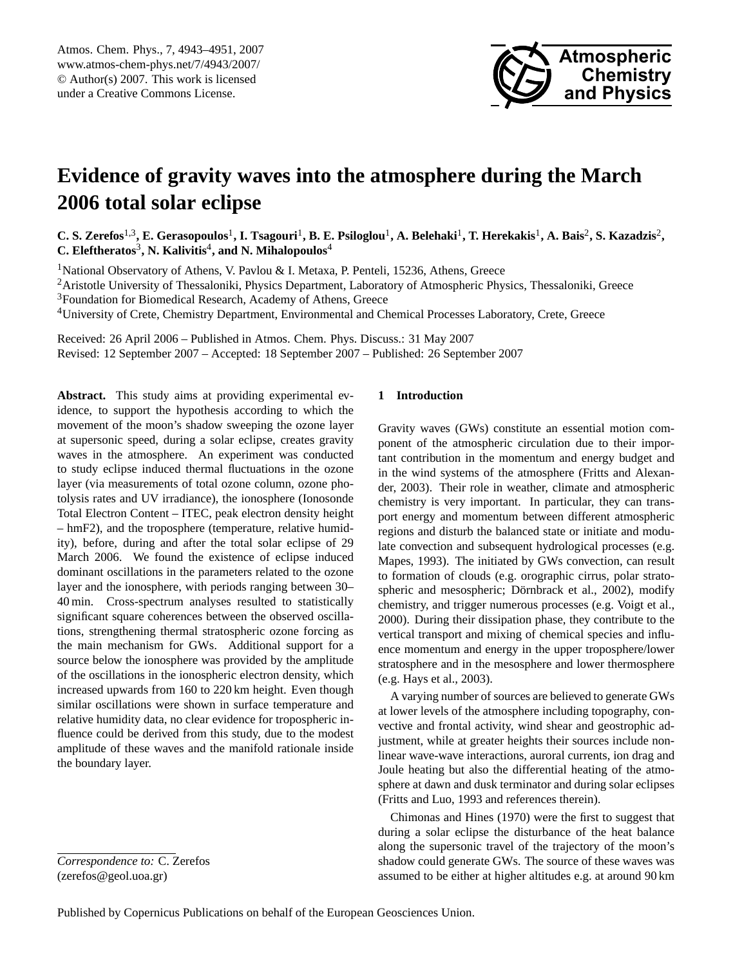

# <span id="page-0-0"></span>**Evidence of gravity waves into the atmosphere during the March 2006 total solar eclipse**

 $C$ . S. Zerefos<sup>1,3</sup>, E. Gerasopoulos<sup>1</sup>, I. Tsagouri<sup>1</sup>, B. E. Psiloglou<sup>1</sup>, A. Belehaki<sup>1</sup>, T. Herekakis<sup>1</sup>, A. Bais<sup>2</sup>, S. Kazadzis<sup>2</sup>, **C. Eleftheratos**<sup>3</sup> **, N. Kalivitis**<sup>4</sup> **, and N. Mihalopoulos**<sup>4</sup>

<sup>1</sup> National Observatory of Athens, V. Pavlou & I. Metaxa, P. Penteli, 15236, Athens, Greece <sup>2</sup> Aristotle University of Thessaloniki, Physics Department, Laboratory of Atmospheric Physics, Thessaloniki, Greece <sup>3</sup>Foundation for Biomedical Research, Academy of Athens, Greece

<sup>4</sup>University of Crete, Chemistry Department, Environmental and Chemical Processes Laboratory, Crete, Greece

Received: 26 April 2006 – Published in Atmos. Chem. Phys. Discuss.: 31 May 2007 Revised: 12 September 2007 – Accepted: 18 September 2007 – Published: 26 September 2007

**Abstract.** This study aims at providing experimental evidence, to support the hypothesis according to which the movement of the moon's shadow sweeping the ozone layer at supersonic speed, during a solar eclipse, creates gravity waves in the atmosphere. An experiment was conducted to study eclipse induced thermal fluctuations in the ozone layer (via measurements of total ozone column, ozone photolysis rates and UV irradiance), the ionosphere (Ionosonde Total Electron Content – ITEC, peak electron density height – hmF2), and the troposphere (temperature, relative humidity), before, during and after the total solar eclipse of 29 March 2006. We found the existence of eclipse induced dominant oscillations in the parameters related to the ozone layer and the ionosphere, with periods ranging between 30– 40 min. Cross-spectrum analyses resulted to statistically significant square coherences between the observed oscillations, strengthening thermal stratospheric ozone forcing as the main mechanism for GWs. Additional support for a source below the ionosphere was provided by the amplitude of the oscillations in the ionospheric electron density, which increased upwards from 160 to 220 km height. Even though similar oscillations were shown in surface temperature and relative humidity data, no clear evidence for tropospheric influence could be derived from this study, due to the modest amplitude of these waves and the manifold rationale inside the boundary layer.

## **1 Introduction**

Gravity waves (GWs) constitute an essential motion component of the atmospheric circulation due to their important contribution in the momentum and energy budget and in the wind systems of the atmosphere (Fritts and Alexander, 2003). Their role in weather, climate and atmospheric chemistry is very important. In particular, they can transport energy and momentum between different atmospheric regions and disturb the balanced state or initiate and modulate convection and subsequent hydrological processes (e.g. Mapes, 1993). The initiated by GWs convection, can result to formation of clouds (e.g. orographic cirrus, polar stratospheric and mesospheric; Dörnbrack et al., 2002), modify chemistry, and trigger numerous processes (e.g. Voigt et al., 2000). During their dissipation phase, they contribute to the vertical transport and mixing of chemical species and influence momentum and energy in the upper troposphere/lower stratosphere and in the mesosphere and lower thermosphere (e.g. Hays et al., 2003).

A varying number of sources are believed to generate GWs at lower levels of the atmosphere including topography, convective and frontal activity, wind shear and geostrophic adjustment, while at greater heights their sources include nonlinear wave-wave interactions, auroral currents, ion drag and Joule heating but also the differential heating of the atmosphere at dawn and dusk terminator and during solar eclipses (Fritts and Luo, 1993 and references therein).

Chimonas and Hines (1970) were the first to suggest that during a solar eclipse the disturbance of the heat balance along the supersonic travel of the trajectory of the moon's shadow could generate GWs. The source of these waves was assumed to be either at higher altitudes e.g. at around 90 km

*Correspondence to:* C. Zerefos (zerefos@geol.uoa.gr)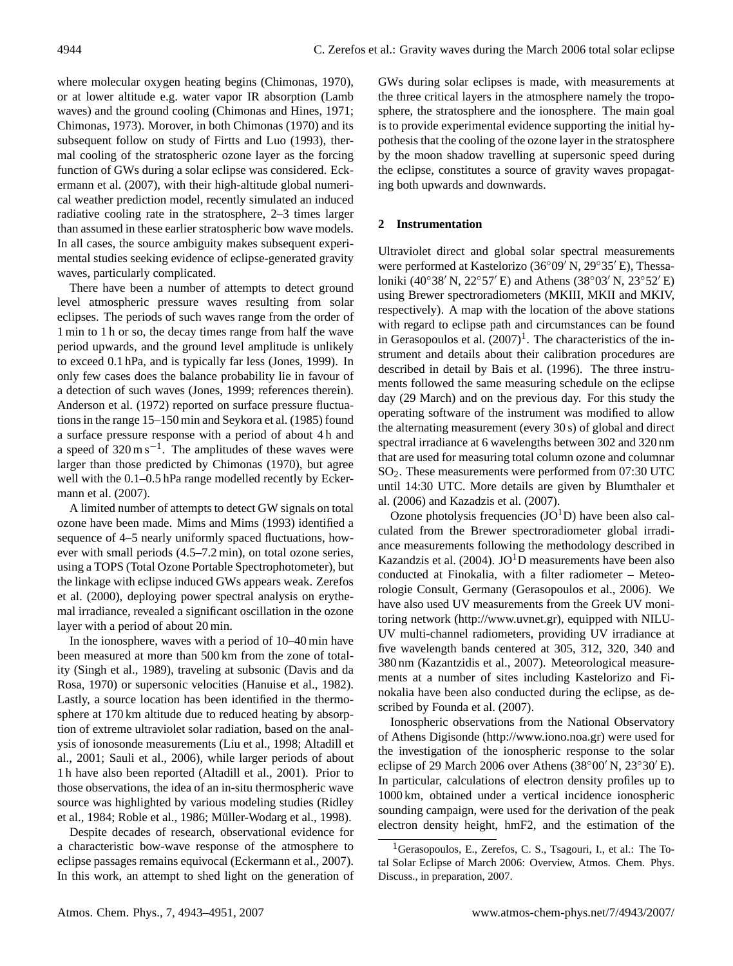where molecular oxygen heating begins (Chimonas, 1970), or at lower altitude e.g. water vapor IR absorption (Lamb waves) and the ground cooling (Chimonas and Hines, 1971; Chimonas, 1973). Morover, in both Chimonas (1970) and its subsequent follow on study of Firtts and Luo (1993), thermal cooling of the stratospheric ozone layer as the forcing function of GWs during a solar eclipse was considered. Eckermann et al. (2007), with their high-altitude global numerical weather prediction model, recently simulated an induced radiative cooling rate in the stratosphere, 2–3 times larger than assumed in these earlier stratospheric bow wave models. In all cases, the source ambiguity makes subsequent experimental studies seeking evidence of eclipse-generated gravity waves, particularly complicated.

There have been a number of attempts to detect ground level atmospheric pressure waves resulting from solar eclipses. The periods of such waves range from the order of 1 min to 1 h or so, the decay times range from half the wave period upwards, and the ground level amplitude is unlikely to exceed 0.1 hPa, and is typically far less (Jones, 1999). In only few cases does the balance probability lie in favour of a detection of such waves (Jones, 1999; references therein). Anderson et al. (1972) reported on surface pressure fluctuations in the range 15–150 min and Seykora et al. (1985) found a surface pressure response with a period of about 4 h and a speed of  $320 \text{ m s}^{-1}$ . The amplitudes of these waves were larger than those predicted by Chimonas (1970), but agree well with the  $0.1-0.5$  hPa range modelled recently by Eckermann et al. (2007).

A limited number of attempts to detect GW signals on total ozone have been made. Mims and Mims (1993) identified a sequence of 4–5 nearly uniformly spaced fluctuations, however with small periods (4.5–7.2 min), on total ozone series, using a TOPS (Total Ozone Portable Spectrophotometer), but the linkage with eclipse induced GWs appears weak. Zerefos et al. (2000), deploying power spectral analysis on erythemal irradiance, revealed a significant oscillation in the ozone layer with a period of about 20 min.

In the ionosphere, waves with a period of 10–40 min have been measured at more than 500 km from the zone of totality (Singh et al., 1989), traveling at subsonic (Davis and da Rosa, 1970) or supersonic velocities (Hanuise et al., 1982). Lastly, a source location has been identified in the thermosphere at 170 km altitude due to reduced heating by absorption of extreme ultraviolet solar radiation, based on the analysis of ionosonde measurements (Liu et al., 1998; Altadill et al., 2001; Sauli et al., 2006), while larger periods of about 1 h have also been reported (Altadill et al., 2001). Prior to those observations, the idea of an in-situ thermospheric wave source was highlighted by various modeling studies (Ridley et al., 1984; Roble et al., 1986; Müller-Wodarg et al., 1998).

Despite decades of research, observational evidence for a characteristic bow-wave response of the atmosphere to eclipse passages remains equivocal (Eckermann et al., 2007). In this work, an attempt to shed light on the generation of GWs during solar eclipses is made, with measurements at the three critical layers in the atmosphere namely the troposphere, the stratosphere and the ionosphere. The main goal is to provide experimental evidence supporting the initial hypothesis that the cooling of the ozone layer in the stratosphere by the moon shadow travelling at supersonic speed during the eclipse, constitutes a source of gravity waves propagating both upwards and downwards.

# **2 Instrumentation**

Ultraviolet direct and global solar spectral measurements were performed at Kastelorizo (36 $\degree$ 09' N, 29 $\degree$ 35' E), Thessaloniki (40°38′ N, 22°57′ E) and Athens (38°03′ N, 23°52′ E) using Brewer spectroradiometers (MKIII, MKII and MKIV, respectively). A map with the location of the above stations with regard to eclipse path and circumstances can be found in Gerasopoulos et al.  $(2007)^1$  $(2007)^1$ . The characteristics of the instrument and details about their calibration procedures are described in detail by Bais et al. (1996). The three instruments followed the same measuring schedule on the eclipse day (29 March) and on the previous day. For this study the operating software of the instrument was modified to allow the alternating measurement (every 30 s) of global and direct spectral irradiance at 6 wavelengths between 302 and 320 nm that are used for measuring total column ozone and columnar SO2. These measurements were performed from 07:30 UTC until 14:30 UTC. More details are given by Blumthaler et al. (2006) and Kazadzis et al. (2007).

Ozone photolysis frequencies  $(JO<sup>1</sup>D)$  have been also calculated from the Brewer spectroradiometer global irradiance measurements following the methodology described in Kazandzis et al. (2004).  $JO<sup>T</sup>D$  measurements have been also conducted at Finokalia, with a filter radiometer – Meteorologie Consult, Germany (Gerasopoulos et al., 2006). We have also used UV measurements from the Greek UV monitoring network [\(http://www.uvnet.gr\),]((http://www.uvnet.gr)) equipped with NILU-UV multi-channel radiometers, providing UV irradiance at five wavelength bands centered at 305, 312, 320, 340 and 380 nm (Kazantzidis et al., 2007). Meteorological measurements at a number of sites including Kastelorizo and Finokalia have been also conducted during the eclipse, as described by Founda et al. (2007).

Ionospheric observations from the National Observatory of Athens Digisonde [\(http://www.iono.noa.gr\)]((http://www.iono.noa.gr)) were used for the investigation of the ionospheric response to the solar eclipse of 29 March 2006 over Athens  $(38°00' \text{ N}, 23°30' \text{ E})$ . In particular, calculations of electron density profiles up to 1000 km, obtained under a vertical incidence ionospheric sounding campaign, were used for the derivation of the peak electron density height, hmF2, and the estimation of the

<span id="page-1-0"></span><sup>1</sup>Gerasopoulos, E., Zerefos, C. S., Tsagouri, I., et al.: The Total Solar Eclipse of March 2006: Overview, Atmos. Chem. Phys. Discuss., in preparation, 2007.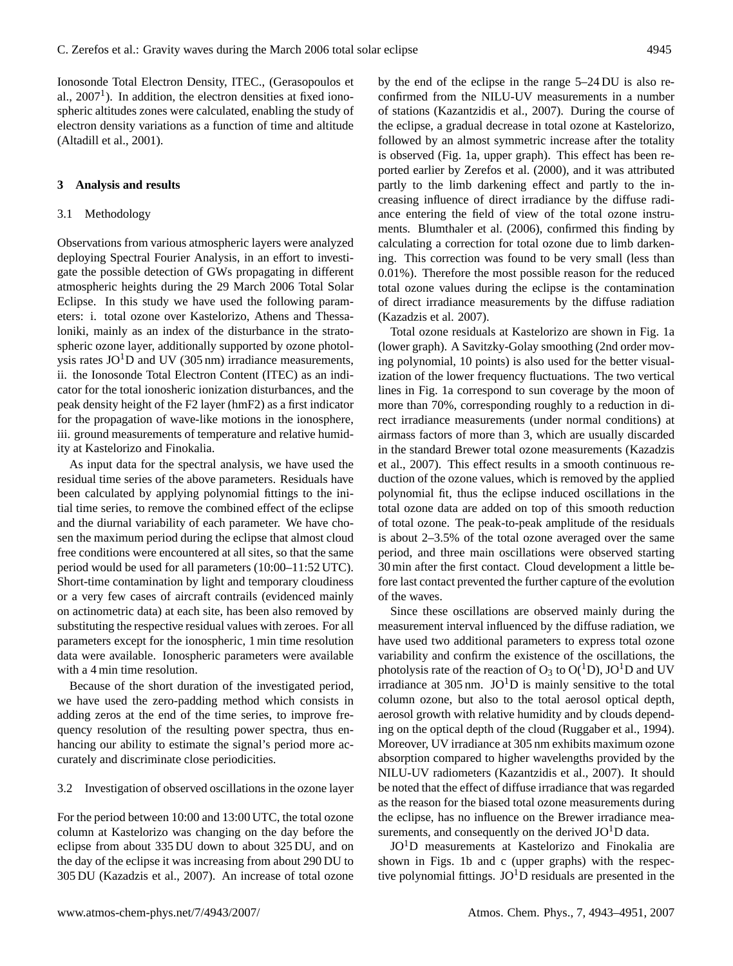Ionosonde Total Electron Density, ITEC., (Gerasopoulos et al.,  $2007<sup>1</sup>$ ). In addition, the electron densities at fixed ionospheric altitudes zones were calculated, enabling the study of electron density variations as a function of time and altitude (Altadill et al., 2001).

#### **3 Analysis and results**

#### 3.1 Methodology

Observations from various atmospheric layers were analyzed deploying Spectral Fourier Analysis, in an effort to investigate the possible detection of GWs propagating in different atmospheric heights during the 29 March 2006 Total Solar Eclipse. In this study we have used the following parameters: i. total ozone over Kastelorizo, Athens and Thessaloniki, mainly as an index of the disturbance in the stratospheric ozone layer, additionally supported by ozone photolysis rates  $JO<sup>1</sup>D$  and UV (305 nm) irradiance measurements, ii. the Ionosonde Total Electron Content (ITEC) as an indicator for the total ionosheric ionization disturbances, and the peak density height of the F2 layer (hmF2) as a first indicator for the propagation of wave-like motions in the ionosphere, iii. ground measurements of temperature and relative humidity at Kastelorizo and Finokalia.

As input data for the spectral analysis, we have used the residual time series of the above parameters. Residuals have been calculated by applying polynomial fittings to the initial time series, to remove the combined effect of the eclipse and the diurnal variability of each parameter. We have chosen the maximum period during the eclipse that almost cloud free conditions were encountered at all sites, so that the same period would be used for all parameters (10:00–11:52 UTC). Short-time contamination by light and temporary cloudiness or a very few cases of aircraft contrails (evidenced mainly on actinometric data) at each site, has been also removed by substituting the respective residual values with zeroes. For all parameters except for the ionospheric, 1 min time resolution data were available. Ionospheric parameters were available with a 4 min time resolution.

Because of the short duration of the investigated period, we have used the zero-padding method which consists in adding zeros at the end of the time series, to improve frequency resolution of the resulting power spectra, thus enhancing our ability to estimate the signal's period more accurately and discriminate close periodicities.

## 3.2 Investigation of observed oscillations in the ozone layer

For the period between 10:00 and 13:00 UTC, the total ozone column at Kastelorizo was changing on the day before the eclipse from about 335 DU down to about 325 DU, and on the day of the eclipse it was increasing from about 290 DU to 305 DU (Kazadzis et al., 2007). An increase of total ozone

by the end of the eclipse in the range 5–24 DU is also reconfirmed from the NILU-UV measurements in a number of stations (Kazantzidis et al., 2007). During the course of the eclipse, a gradual decrease in total ozone at Kastelorizo, followed by an almost symmetric increase after the totality is observed (Fig. 1a, upper graph). This effect has been reported earlier by Zerefos et al. (2000), and it was attributed partly to the limb darkening effect and partly to the increasing influence of direct irradiance by the diffuse radiance entering the field of view of the total ozone instruments. Blumthaler et al. (2006), confirmed this finding by calculating a correction for total ozone due to limb darkening. This correction was found to be very small (less than 0.01%). Therefore the most possible reason for the reduced total ozone values during the eclipse is the contamination of direct irradiance measurements by the diffuse radiation (Kazadzis et al. 2007).

Total ozone residuals at Kastelorizo are shown in Fig. 1a (lower graph). A Savitzky-Golay smoothing (2nd order moving polynomial, 10 points) is also used for the better visualization of the lower frequency fluctuations. The two vertical lines in Fig. 1a correspond to sun coverage by the moon of more than 70%, corresponding roughly to a reduction in direct irradiance measurements (under normal conditions) at airmass factors of more than 3, which are usually discarded in the standard Brewer total ozone measurements (Kazadzis et al., 2007). This effect results in a smooth continuous reduction of the ozone values, which is removed by the applied polynomial fit, thus the eclipse induced oscillations in the total ozone data are added on top of this smooth reduction of total ozone. The peak-to-peak amplitude of the residuals is about 2–3.5% of the total ozone averaged over the same period, and three main oscillations were observed starting 30 min after the first contact. Cloud development a little before last contact prevented the further capture of the evolution of the waves.

Since these oscillations are observed mainly during the measurement interval influenced by the diffuse radiation, we have used two additional parameters to express total ozone variability and confirm the existence of the oscillations, the photolysis rate of the reaction of  $O_3$  to  $O(^1D)$ , JO<sup>1</sup>D and UV irradiance at 305 nm.  $JO<sup>1</sup>D$  is mainly sensitive to the total column ozone, but also to the total aerosol optical depth, aerosol growth with relative humidity and by clouds depending on the optical depth of the cloud (Ruggaber et al., 1994). Moreover, UV irradiance at 305 nm exhibits maximum ozone absorption compared to higher wavelengths provided by the NILU-UV radiometers (Kazantzidis et al., 2007). It should be noted that the effect of diffuse irradiance that was regarded as the reason for the biased total ozone measurements during the eclipse, has no influence on the Brewer irradiance measurements, and consequently on the derived  $JO<sup>1</sup>D$  data.

JO1D measurements at Kastelorizo and Finokalia are shown in Figs. 1b and c (upper graphs) with the respective polynomial fittings.  $JO<sup>1</sup>D$  residuals are presented in the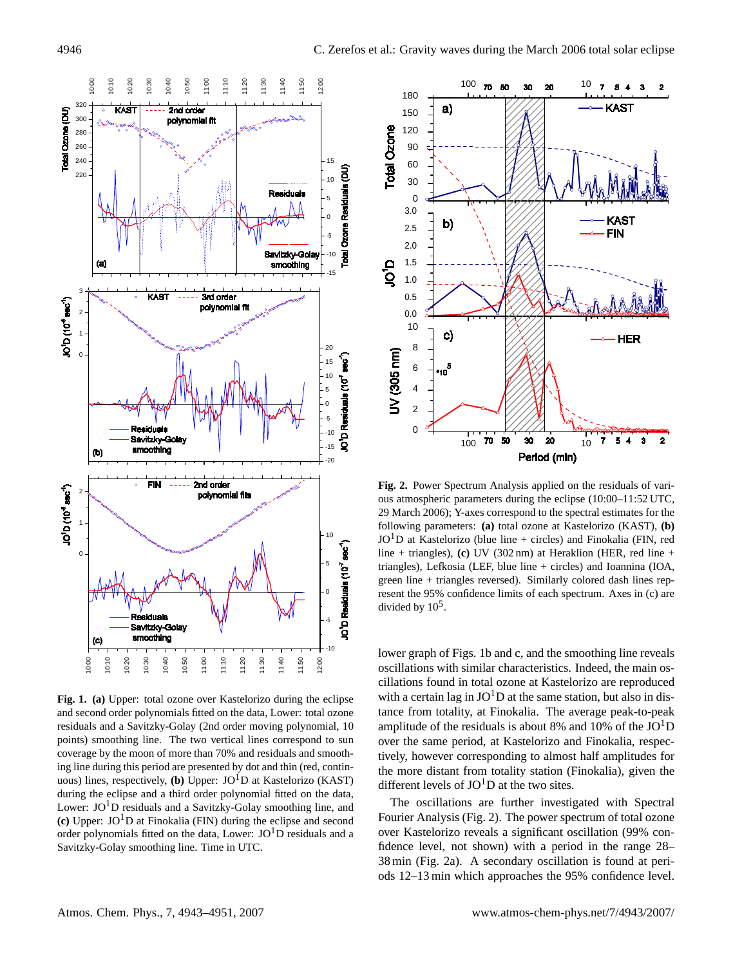

**Fig. 1. (a)** Upper: total ozone over Kastelorizo during the eclipse and second order polynomials fitted on the data, Lower: total ozone residuals and a Savitzky-Golay (2nd order moving polynomial, 10 points) smoothing line. The two vertical lines correspond to sun coverage by the moon of more than 70% and residuals and smoothing line during this period are presented by dot and thin (red, continuous) lines, respectively, **(b)** Upper: JO<sup>1</sup>D at Kastelorizo (KAST) during the eclipse and a third order polynomial fitted on the data, Lower:  $JO<sup>1</sup>D$  residuals and a Savitzky-Golay smoothing line, and **(c)** Upper: JO1D at Finokalia (FIN) during the eclipse and second order polynomials fitted on the data, Lower:  $JO<sup>1</sup>D$  residuals and a Savitzky-Golay smoothing line. Time in UTC.



**Fig. 2.** Power Spectrum Analysis applied on the residuals of various atmospheric parameters during the eclipse (10:00–11:52 UTC, 29 March 2006); Y-axes correspond to the spectral estimates for the following parameters: **(a)** total ozone at Kastelorizo (KAST), **(b)**  $JO<sup>1</sup>D$  at Kastelorizo (blue line + circles) and Finokalia (FIN, red line + triangles), **(c)** UV (302 nm) at Heraklion (HER, red line + triangles), Lefkosia (LEF, blue line + circles) and Ioannina (IOA, green line + triangles reversed). Similarly colored dash lines represent the 95% confidence limits of each spectrum. Axes in (c) are divided by  $10^5$ .

lower graph of Figs. 1b and c, and the smoothing line reveals oscillations with similar characteristics. Indeed, the main oscillations found in total ozone at Kastelorizo are reproduced with a certain lag in  $JO<sup>1</sup>D$  at the same station, but also in distance from totality, at Finokalia. The average peak-to-peak amplitude of the residuals is about 8% and 10% of the  $JO<sup>1</sup>D$ over the same period, at Kastelorizo and Finokalia, respectively, however corresponding to almost half amplitudes for the more distant from totality station (Finokalia), given the different levels of  $JO<sup>1</sup>D$  at the two sites.

The oscillations are further investigated with Spectral Fourier Analysis (Fig. 2). The power spectrum of total ozone over Kastelorizo reveals a significant oscillation (99% confidence level, not shown) with a period in the range 28– 38 min (Fig. 2a). A secondary oscillation is found at periods 12–13 min which approaches the 95% confidence level.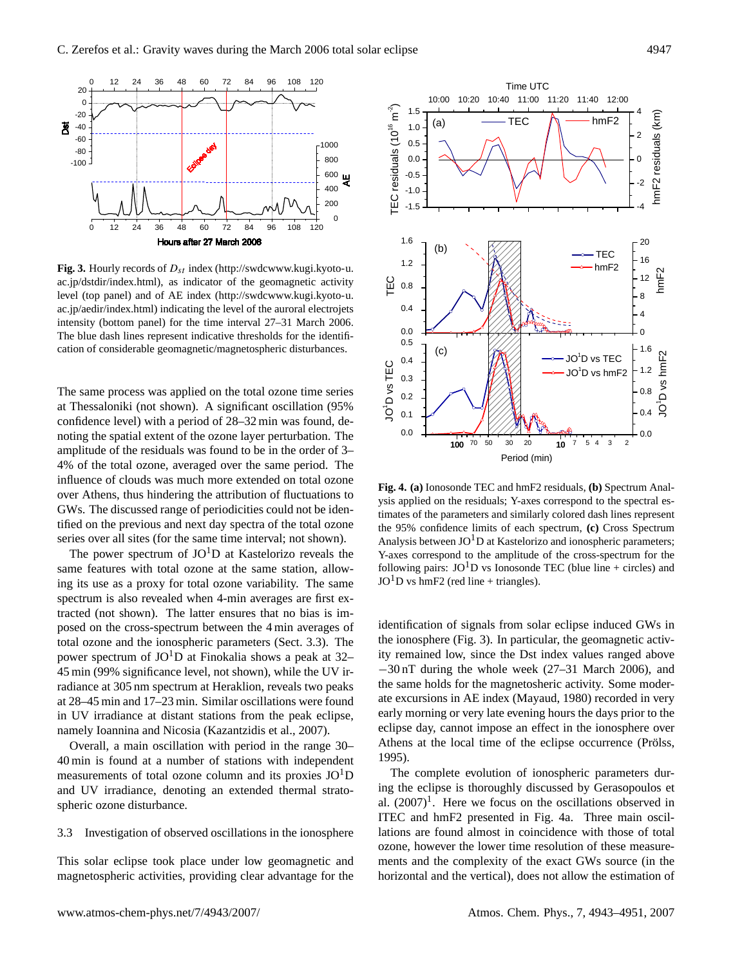

**Fig. 3.** Hourly records of  $D_{st}$  index [\(http://swdcwww.kugi.kyoto-u.]((http://swdcwww.kugi.kyoto-u.ac.jp/dstdir/index.html)) [ac.jp/dstdir/index.html\),]((http://swdcwww.kugi.kyoto-u.ac.jp/dstdir/index.html)) as indicator of the geomagnetic activity level (top panel) and of AE index [\(http://swdcwww.kugi.kyoto-u.]((http://swdcwww.kugi.kyoto-u.ac.jp/aedir/index.html)) [ac.jp/aedir/index.html\)]((http://swdcwww.kugi.kyoto-u.ac.jp/aedir/index.html)) indicating the level of the auroral electrojets intensity (bottom panel) for the time interval 27–31 March 2006. The blue dash lines represent indicative thresholds for the identification of considerable geomagnetic/magnetospheric disturbances.

The same process was applied on the total ozone time series at Thessaloniki (not shown). A significant oscillation (95% confidence level) with a period of 28–32 min was found, denoting the spatial extent of the ozone layer perturbation. The amplitude of the residuals was found to be in the order of 3– 4% of the total ozone, averaged over the same period. The influence of clouds was much more extended on total ozone over Athens, thus hindering the attribution of fluctuations to GWs. The discussed range of periodicities could not be identified on the previous and next day spectra of the total ozone series over all sites (for the same time interval; not shown).

The power spectrum of  $JO<sup>1</sup>D$  at Kastelorizo reveals the same features with total ozone at the same station, allowing its use as a proxy for total ozone variability. The same spectrum is also revealed when 4-min averages are first extracted (not shown). The latter ensures that no bias is imposed on the cross-spectrum between the 4 min averages of total ozone and the ionospheric parameters (Sect. 3.3). The power spectrum of  $JO<sup>1</sup>D$  at Finokalia shows a peak at 32– 45 min (99% significance level, not shown), while the UV irradiance at 305 nm spectrum at Heraklion, reveals two peaks at 28–45 min and 17–23 min. Similar oscillations were found in UV irradiance at distant stations from the peak eclipse, namely Ioannina and Nicosia (Kazantzidis et al., 2007).

Overall, a main oscillation with period in the range 30– 40 min is found at a number of stations with independent measurements of total ozone column and its proxies  $JO<sup>1</sup>D$ and UV irradiance, denoting an extended thermal stratospheric ozone disturbance.

# 3.3 Investigation of observed oscillations in the ionosphere

This solar eclipse took place under low geomagnetic and magnetospheric activities, providing clear advantage for the



**Fig. 4. (a)** Ionosonde TEC and hmF2 residuals, **(b)** Spectrum Analysis applied on the residuals; Y-axes correspond to the spectral estimates of the parameters and similarly colored dash lines represent the 95% confidence limits of each spectrum, **(c)** Cross Spectrum Analysis between  $JO<sup>1</sup>D$  at Kastelorizo and ionospheric parameters; Y-axes correspond to the amplitude of the cross-spectrum for the following pairs:  $JO<sup>1</sup>D$  vs Ionosonde TEC (blue line + circles) and  $JO<sup>1</sup>D$  vs hmF2 (red line + triangles).

identification of signals from solar eclipse induced GWs in the ionosphere (Fig. 3). In particular, the geomagnetic activity remained low, since the Dst index values ranged above −30 nT during the whole week (27–31 March 2006), and the same holds for the magnetosheric activity. Some moderate excursions in AE index (Mayaud, 1980) recorded in very early morning or very late evening hours the days prior to the eclipse day, cannot impose an effect in the ionosphere over Athens at the local time of the eclipse occurrence (Prölss, 1995).

The complete evolution of ionospheric parameters during the eclipse is thoroughly discussed by Gerasopoulos et al.  $(2007)^1$ . Here we focus on the oscillations observed in ITEC and hmF2 presented in Fig. 4a. Three main oscillations are found almost in coincidence with those of total ozone, however the lower time resolution of these measurements and the complexity of the exact GWs source (in the horizontal and the vertical), does not allow the estimation of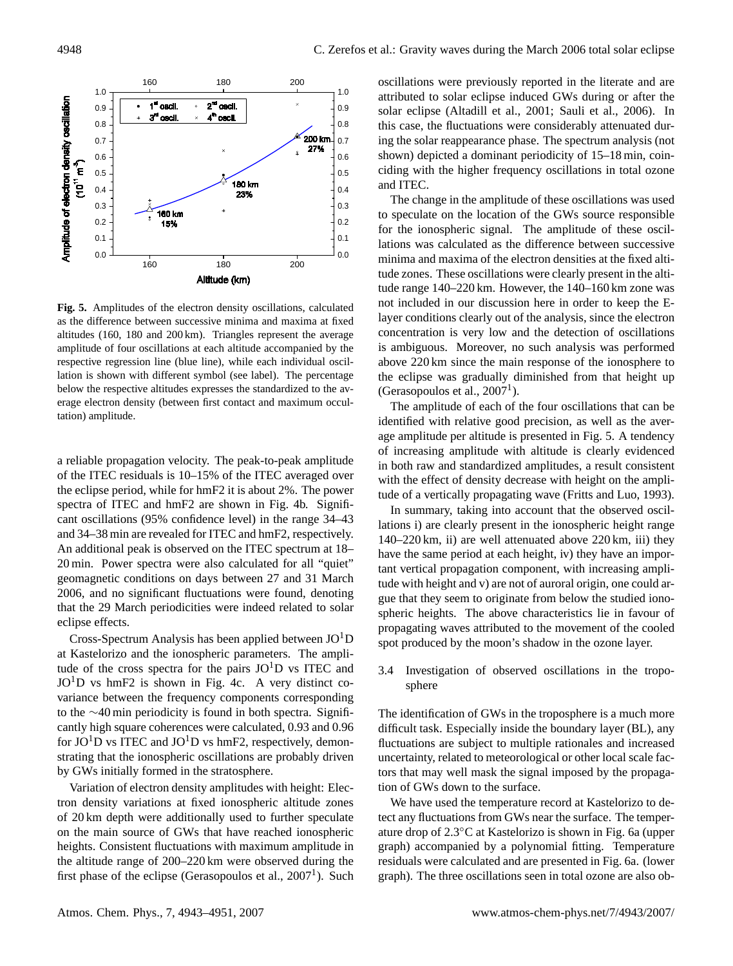

**Fig. 5.** Amplitudes of the electron density oscillations, calculated as the difference between successive minima and maxima at fixed altitudes (160, 180 and 200 km). Triangles represent the average amplitude of four oscillations at each altitude accompanied by the respective regression line (blue line), while each individual oscillation is shown with different symbol (see label). The percentage below the respective altitudes expresses the standardized to the average electron density (between first contact and maximum occultation) amplitude.

a reliable propagation velocity. The peak-to-peak amplitude of the ITEC residuals is 10–15% of the ITEC averaged over the eclipse period, while for hmF2 it is about 2%. The power spectra of ITEC and hmF2 are shown in Fig. 4b. Significant oscillations (95% confidence level) in the range 34–43 and 34–38 min are revealed for ITEC and hmF2, respectively. An additional peak is observed on the ITEC spectrum at 18– 20 min. Power spectra were also calculated for all "quiet" geomagnetic conditions on days between 27 and 31 March 2006, and no significant fluctuations were found, denoting that the 29 March periodicities were indeed related to solar eclipse effects.

Cross-Spectrum Analysis has been applied between  $JO<sup>1</sup>D$ at Kastelorizo and the ionospheric parameters. The amplitude of the cross spectra for the pairs  $JO<sup>1</sup>D$  vs ITEC and  $JO<sup>1</sup>D$  vs hmF2 is shown in Fig. 4c. A very distinct covariance between the frequency components corresponding to the ∼40 min periodicity is found in both spectra. Significantly high square coherences were calculated, 0.93 and 0.96 for  $JO<sup>1</sup>D$  vs ITEC and  $JO<sup>1</sup>D$  vs hmF2, respectively, demonstrating that the ionospheric oscillations are probably driven by GWs initially formed in the stratosphere.

Variation of electron density amplitudes with height: Electron density variations at fixed ionospheric altitude zones of 20 km depth were additionally used to further speculate on the main source of GWs that have reached ionospheric heights. Consistent fluctuations with maximum amplitude in the altitude range of 200–220 km were observed during the first phase of the eclipse (Gerasopoulos et al.,  $2007<sup>1</sup>$ ). Such

*0.6* shown) depicted a dominant periodicity of 15–18 min, coin-*0.7* ing the solar reappearance phase. The spectrum analysis (not *0.8* this case, the fluctuations were considerably attenuated duroscillations were previously reported in the literate and are attributed to solar eclipse induced GWs during or after the solar eclipse (Altadill et al., 2001; Sauli et al., 2006). In ciding with the higher frequency oscillations in total ozone and ITEC.

*0.0* minima and maxima of the electron densities at the fixed alti-The change in the amplitude of these oscillations was used to speculate on the location of the GWs source responsible for the ionospheric signal. The amplitude of these oscillations was calculated as the difference between successive tude zones. These oscillations were clearly present in the altitude range 140–220 km. However, the 140–160 km zone was not included in our discussion here in order to keep the Elayer conditions clearly out of the analysis, since the electron concentration is very low and the detection of oscillations is ambiguous. Moreover, no such analysis was performed above 220 km since the main response of the ionosphere to the eclipse was gradually diminished from that height up (Gerasopoulos et al.,  $2007<sup>1</sup>$ ).

> The amplitude of each of the four oscillations that can be identified with relative good precision, as well as the average amplitude per altitude is presented in Fig. 5. A tendency of increasing amplitude with altitude is clearly evidenced in both raw and standardized amplitudes, a result consistent with the effect of density decrease with height on the amplitude of a vertically propagating wave (Fritts and Luo, 1993).

> In summary, taking into account that the observed oscillations i) are clearly present in the ionospheric height range 140–220 km, ii) are well attenuated above 220 km, iii) they have the same period at each height, iv) they have an important vertical propagation component, with increasing amplitude with height and v) are not of auroral origin, one could argue that they seem to originate from below the studied ionospheric heights. The above characteristics lie in favour of propagating waves attributed to the movement of the cooled spot produced by the moon's shadow in the ozone layer.

> 3.4 Investigation of observed oscillations in the troposphere

> The identification of GWs in the troposphere is a much more difficult task. Especially inside the boundary layer (BL), any fluctuations are subject to multiple rationales and increased uncertainty, related to meteorological or other local scale factors that may well mask the signal imposed by the propagation of GWs down to the surface.

> We have used the temperature record at Kastelorizo to detect any fluctuations from GWs near the surface. The temperature drop of 2.3◦C at Kastelorizo is shown in Fig. 6a (upper graph) accompanied by a polynomial fitting. Temperature residuals were calculated and are presented in Fig. 6a. (lower graph). The three oscillations seen in total ozone are also ob-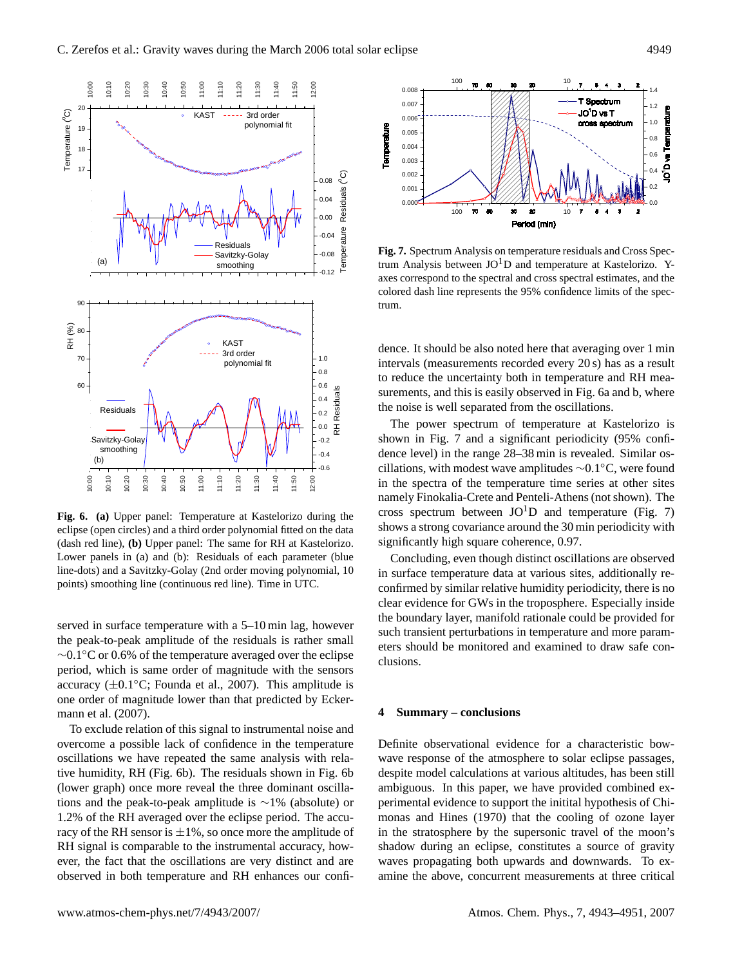

**Fig. 6. (a)** Upper panel: Temperature at Kastelorizo during the eclipse (open circles) and a third order polynomial fitted on the data (dash red line), **(b)** Upper panel: The same for RH at Kastelorizo. Lower panels in (a) and (b): Residuals of each parameter (blue line-dots) and a Savitzky-Golay (2nd order moving polynomial, 10 points) smoothing line (continuous red line). Time in UTC.

served in surface temperature with a 5–10 min lag, however the peak-to-peak amplitude of the residuals is rather small ∼0.1◦C or 0.6% of the temperature averaged over the eclipse period, which is same order of magnitude with the sensors accuracy  $(\pm 0.1\textdegree C;$  Founda et al., 2007). This amplitude is one order of magnitude lower than that predicted by Eckermann et al. (2007).

To exclude relation of this signal to instrumental noise and overcome a possible lack of confidence in the temperature oscillations we have repeated the same analysis with relative humidity, RH (Fig. 6b). The residuals shown in Fig. 6b (lower graph) once more reveal the three dominant oscillations and the peak-to-peak amplitude is ∼1% (absolute) or 1.2% of the RH averaged over the eclipse period. The accuracy of the RH sensor is  $\pm 1\%$ , so once more the amplitude of RH signal is comparable to the instrumental accuracy, however, the fact that the oscillations are very distinct and are observed in both temperature and RH enhances our confi-



**Fig. 7.** Spectrum Analysis on temperature residuals and Cross Spectrum Analysis between  $JO<sup>1</sup>D$  and temperature at Kastelorizo. Yaxes correspond to the spectral and cross spectral estimates, and the colored dash line represents the 95% confidence limits of the spectrum.

dence. It should be also noted here that averaging over 1 min intervals (measurements recorded every 20 s) has as a result to reduce the uncertainty both in temperature and RH measurements, and this is easily observed in Fig. 6a and b, where the noise is well separated from the oscillations.

The power spectrum of temperature at Kastelorizo is shown in Fig. 7 and a significant periodicity (95% confidence level) in the range 28–38 min is revealed. Similar oscillations, with modest wave amplitudes ∼0.1◦C, were found in the spectra of the temperature time series at other sites namely Finokalia-Crete and Penteli-Athens (not shown). The cross spectrum between  $JO<sup>1</sup>D$  and temperature (Fig. 7) shows a strong covariance around the 30 min periodicity with significantly high square coherence, 0.97.

Concluding, even though distinct oscillations are observed in surface temperature data at various sites, additionally reconfirmed by similar relative humidity periodicity, there is no clear evidence for GWs in the troposphere. Especially inside the boundary layer, manifold rationale could be provided for such transient perturbations in temperature and more parameters should be monitored and examined to draw safe conclusions.

# **4 Summary – conclusions**

Definite observational evidence for a characteristic bowwave response of the atmosphere to solar eclipse passages, despite model calculations at various altitudes, has been still ambiguous. In this paper, we have provided combined experimental evidence to support the initital hypothesis of Chimonas and Hines (1970) that the cooling of ozone layer in the stratosphere by the supersonic travel of the moon's shadow during an eclipse, constitutes a source of gravity waves propagating both upwards and downwards. To examine the above, concurrent measurements at three critical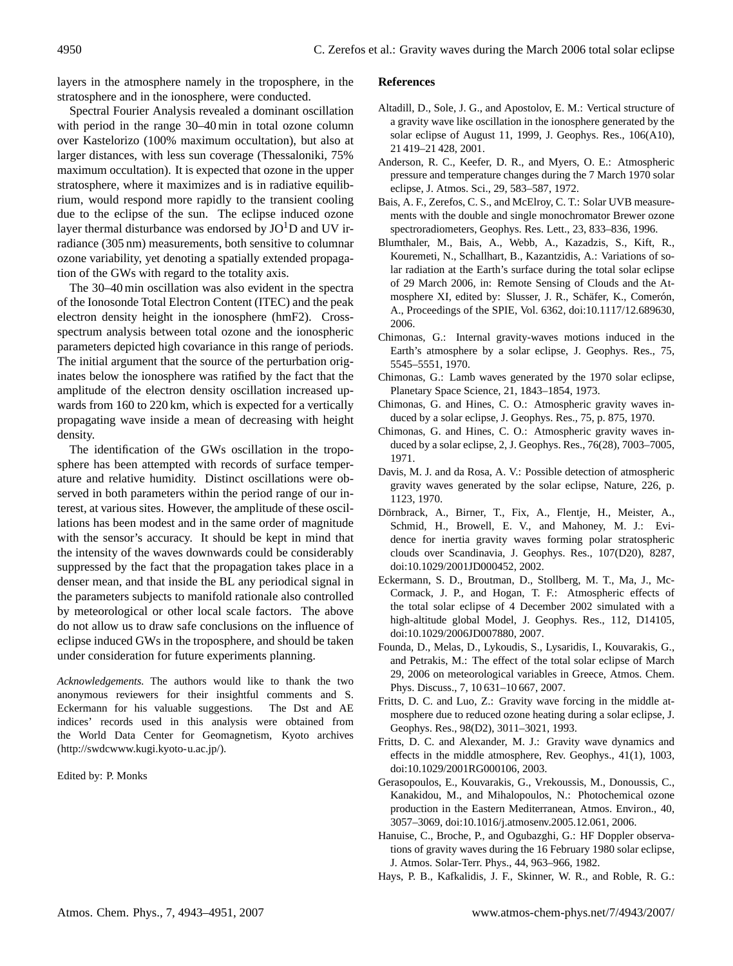layers in the atmosphere namely in the troposphere, in the stratosphere and in the ionosphere, were conducted.

Spectral Fourier Analysis revealed a dominant oscillation with period in the range 30–40 min in total ozone column over Kastelorizo (100% maximum occultation), but also at larger distances, with less sun coverage (Thessaloniki, 75% maximum occultation). It is expected that ozone in the upper stratosphere, where it maximizes and is in radiative equilibrium, would respond more rapidly to the transient cooling due to the eclipse of the sun. The eclipse induced ozone layer thermal disturbance was endorsed by  $JO<sup>1</sup>D$  and UV irradiance (305 nm) measurements, both sensitive to columnar ozone variability, yet denoting a spatially extended propagation of the GWs with regard to the totality axis.

The 30–40 min oscillation was also evident in the spectra of the Ionosonde Total Electron Content (ITEC) and the peak electron density height in the ionosphere (hmF2). Crossspectrum analysis between total ozone and the ionospheric parameters depicted high covariance in this range of periods. The initial argument that the source of the perturbation originates below the ionosphere was ratified by the fact that the amplitude of the electron density oscillation increased upwards from 160 to 220 km, which is expected for a vertically propagating wave inside a mean of decreasing with height density.

The identification of the GWs oscillation in the troposphere has been attempted with records of surface temperature and relative humidity. Distinct oscillations were observed in both parameters within the period range of our interest, at various sites. However, the amplitude of these oscillations has been modest and in the same order of magnitude with the sensor's accuracy. It should be kept in mind that the intensity of the waves downwards could be considerably suppressed by the fact that the propagation takes place in a denser mean, and that inside the BL any periodical signal in the parameters subjects to manifold rationale also controlled by meteorological or other local scale factors. The above do not allow us to draw safe conclusions on the influence of eclipse induced GWs in the troposphere, and should be taken under consideration for future experiments planning.

*Acknowledgements.* The authors would like to thank the two anonymous reviewers for their insightful comments and S. Eckermann for his valuable suggestions. The Dst and AE indices' records used in this analysis were obtained from the World Data Center for Geomagnetism, Kyoto archives [\(http://swdcwww.kugi.kyoto-u.ac.jp/\)](http://swdcwww.kugi.kyoto-u.ac.jp/).

Edited by: P. Monks

#### **References**

- Altadill, D., Sole, J. G., and Apostolov, E. M.: Vertical structure of a gravity wave like oscillation in the ionosphere generated by the solar eclipse of August 11, 1999, J. Geophys. Res., 106(A10), 21 419–21 428, 2001.
- Anderson, R. C., Keefer, D. R., and Myers, O. E.: Atmospheric pressure and temperature changes during the 7 March 1970 solar eclipse, J. Atmos. Sci., 29, 583–587, 1972.
- Bais, A. F., Zerefos, C. S., and McElroy, C. T.: Solar UVB measurements with the double and single monochromator Brewer ozone spectroradiometers, Geophys. Res. Lett., 23, 833–836, 1996.
- Blumthaler, M., Bais, A., Webb, A., Kazadzis, S., Kift, R., Kouremeti, N., Schallhart, B., Kazantzidis, A.: Variations of solar radiation at the Earth's surface during the total solar eclipse of 29 March 2006, in: Remote Sensing of Clouds and the Atmosphere XI, edited by: Slusser, J. R., Schäfer, K., Comerón, A., Proceedings of the SPIE, Vol. 6362, doi:10.1117/12.689630, 2006.
- Chimonas, G.: Internal gravity-waves motions induced in the Earth's atmosphere by a solar eclipse, J. Geophys. Res., 75, 5545–5551, 1970.
- Chimonas, G.: Lamb waves generated by the 1970 solar eclipse, Planetary Space Science, 21, 1843–1854, 1973.
- Chimonas, G. and Hines, C. O.: Atmospheric gravity waves induced by a solar eclipse, J. Geophys. Res., 75, p. 875, 1970.
- Chimonas, G. and Hines, C. O.: Atmospheric gravity waves induced by a solar eclipse, 2, J. Geophys. Res., 76(28), 7003–7005, 1971.
- Davis, M. J. and da Rosa, A. V.: Possible detection of atmospheric gravity waves generated by the solar eclipse, Nature, 226, p. 1123, 1970.
- Dörnbrack, A., Birner, T., Fix, A., Flentje, H., Meister, A., Schmid, H., Browell, E. V., and Mahoney, M. J.: Evidence for inertia gravity waves forming polar stratospheric clouds over Scandinavia, J. Geophys. Res., 107(D20), 8287, doi:10.1029/2001JD000452, 2002.
- Eckermann, S. D., Broutman, D., Stollberg, M. T., Ma, J., Mc-Cormack, J. P., and Hogan, T. F.: Atmospheric effects of the total solar eclipse of 4 December 2002 simulated with a high-altitude global Model, J. Geophys. Res., 112, D14105, doi:10.1029/2006JD007880, 2007.
- Founda, D., Melas, D., Lykoudis, S., Lysaridis, I., Kouvarakis, G., and Petrakis, M.: The effect of the total solar eclipse of March 29, 2006 on meteorological variables in Greece, Atmos. Chem. Phys. Discuss., 7, 10 631–10 667, 2007.
- Fritts, D. C. and Luo, Z.: Gravity wave forcing in the middle atmosphere due to reduced ozone heating during a solar eclipse, J. Geophys. Res., 98(D2), 3011–3021, 1993.
- Fritts, D. C. and Alexander, M. J.: Gravity wave dynamics and effects in the middle atmosphere, Rev. Geophys., 41(1), 1003, doi:10.1029/2001RG000106, 2003.
- Gerasopoulos, E., Kouvarakis, G., Vrekoussis, M., Donoussis, C., Kanakidou, M., and Mihalopoulos, N.: Photochemical ozone production in the Eastern Mediterranean, Atmos. Environ., 40, 3057–3069, doi:10.1016/j.atmosenv.2005.12.061, 2006.
- Hanuise, C., Broche, P., and Ogubazghi, G.: HF Doppler observations of gravity waves during the 16 February 1980 solar eclipse, J. Atmos. Solar-Terr. Phys., 44, 963–966, 1982.
- Hays, P. B., Kafkalidis, J. F., Skinner, W. R., and Roble, R. G.: